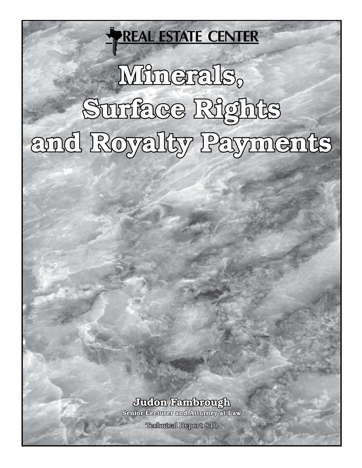# **REAL ESTATE CENTER**

# Mfnerals, Suniace Rights and Royalty Payments

# Judon Fambrough

Senior Lecturer and Attorney at Law

**Technical Report 840**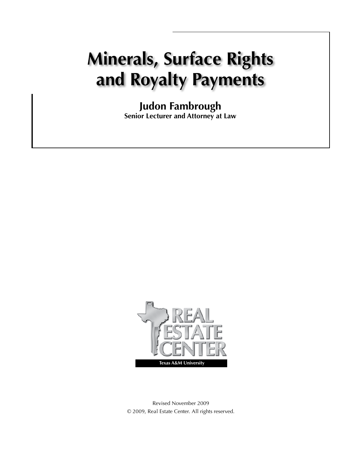# **Minerals, Surface Rights and Royalty Payments**

**Judon Fambrough Senior Lecturer and Attorney at Law**



Revised November 2009 © 2009, Real Estate Center. All rights reserved.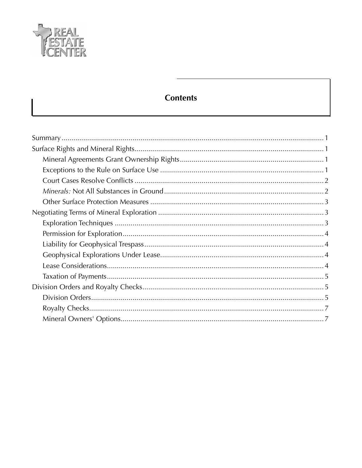

# **Contents**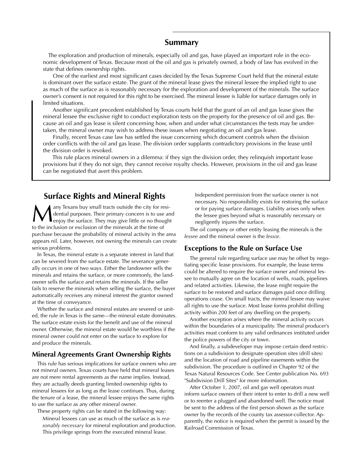#### **Summary**

The exploration and production of minerals, especially oil and gas, have played an important role in the economic development of Texas. Because most of the oil and gas is privately owned, a body of law has evolved in the state that defines ownership rights.

 One of the earliest and most significant cases decided by the Texas Supreme Court held that the mineral estate is dominant over the surface estate. The grant of the mineral lease gives the mineral lessee the implied right to use as much of the surface as is reasonably necessary for the exploration and development of the minerals. The surface owner's consent is not required for this right to be exercised. The mineral lessee is liable for surface damages only in limited situations.

 Another significant precedent established by Texas courts held that the grant of an oil and gas lease gives the mineral lessee the exclusive right to conduct exploration tests on the property for the presence of oil and gas. Because an oil and gas lease is silent concerning how, when and under what circumstances the tests may be undertaken, the mineral owner may wish to address these issues when negotiating an oil and gas lease.

 Finally, recent Texas case law has settled the issue concerning which document controls when the division order conflicts with the oil and gas lease. The division order supplants contradictory provisions in the lease until the division order is revoked.

 This rule places mineral owners in a dilemma: if they sign the division order, they relinquish important lease provisions but if they do not sign, they cannot receive royalty checks. However, provisions in the oil and gas lease can be negotiated that avert this problem.

### **Surface Rights and Mineral Rights**

**Many Texans buy small tracts outside the city for resi-**<br>dential purposes. Their primary concern is to use and<br>the single surface. They may give little or no thought dential purposes. Their primary concern is to use and to the inclusion or exclusion of the minerals at the time of purchase because the probability of mineral activity in the area appears nil. Later, however, not owning the minerals can create serious problems.

In Texas, the mineral estate is a separate interest in land that can be severed from the surface estate. The severance generally occurs in one of two ways. Either the landowner sells the minerals and retains the surface, or more commonly, the landowner sells the surface and retains the minerals. If the seller fails to reserve the minerals when selling the surface, the buyer automatically receives any mineral interest the grantor owned at the time of conveyance.

Whether the surface and mineral estates are severed or united, the rule in Texas is the same—the mineral estate dominates. The surface estate exists for the benefit and use of the mineral owner. Otherwise, the mineral estate would be worthless if the mineral owner could not enter on the surface to explore for and produce the minerals.

#### **Mineral Agreements Grant Ownership Rights**

This rule has serious implications for surface owners who are not mineral owners. Texas courts have held that mineral leases are not mere rental agreements as the name implies. Instead, they are actually deeds granting limited ownership rights to mineral lessees for as long as the lease continues. Thus, during the tenure of a lease, the mineral lessee enjoys the same rights to use the surface as any other mineral owner.

These property rights can be stated in the following way: Mineral lessees can use as much of the surface as is *reasonably necessary* for mineral exploration and production. This privilege springs from the executed mineral lease.

Independent permission from the surface owner is not necessary. No responsibility exists for restoring the surface or for paying surface damages. Liability arises only when the lessee goes beyond what is reasonably necessary or negligently injures the surface.

The oil company or other entity leasing the minerals is the *lessee* and the mineral owner is the *lessor*.

#### **Exceptions to the Rule on Surface Use**

The general rule regarding surface use may be offset by negotiating specific lease provisions. For example, the lease terms could be altered to require the surface owner and mineral lessee to mutually agree on the location of wells, roads, pipelines and related activities. Likewise, the lease might require the surface to be restored and surface damages paid once drilling operations cease. On small tracts, the mineral lessee may waive all rights to use the surface. Most lease forms prohibit drilling activity within 200 feet of any dwelling on the property.

Another exception arises where the mineral activity occurs within the boundaries of a municipality. The mineral producer's activities must conform to any valid ordinances instituted under the police powers of the city or town.

And finally, a subdeveloper may impose certain deed restrictions on a subdivision to designate operation sites (drill sites) and the location of road and pipeline easements within the subdivision. The procedure is outlined in Chapter 92 of the Texas Natural Resources Code. See Center publication No. 693 "Subdivision Drill Sites" for more information.

After October 1, 2007, oil and gas well operators must inform surface owners of their intent to enter to drill a new well or to reenter a plugged and abandoned well. The notice must be sent to the address of the first person shown as the surface owner by the records of the county tax assessor-collector. Apparently, the notice is required when the permit is issued by the Railroad Commission of Texas.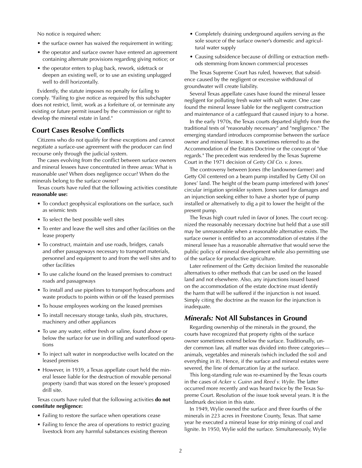No notice is required when:

- the surface owner has waived the requirement in writing;
- the operator and surface owner have entered an agreement containing alternate provisions regarding giving notice; or
- the operator enters to plug back, rework, sidetrack or deepen an existing well, or to use an existing unplugged well to drill horizontally.

Evidently, the statute imposes no penalty for failing to comply. "Failing to give notice as required by this subchapter does not restrict, limit, work as a forfeiture of, or terminate any existing or future permit issued by the commission or right to develop the mineral estate in land."

#### **Court Cases Resolve Conflicts**

Citizens who do not qualify for these exceptions and cannot negotiate a surface-use agreement with the producer can find recourse only through the judicial system.

The cases evolving from the conflict between surface owners and mineral lessees have concentrated in three areas: What is reasonable use? When does negligence occur? When do the minerals belong to the surface owner?

Texas courts have ruled that the following activities constitute **reasonable use:** 

- To conduct geophysical explorations on the surface, such as seismic tests
- To select the best possible well sites
- To enter and leave the well sites and other facilities on the lease property
- To construct, maintain and use roads, bridges, canals and other passageways necessary to transport materials, personnel and equipment to and from the well sites and to other facilities
- To use caliche found on the leased premises to construct roads and passageways
- To install and use pipelines to transport hydrocarbons and waste products to points within or off the leased premises
- To house employees working on the leased premises
- To install necessary storage tanks, slush pits, structures, machinery and other appliances
- To use any water, either fresh or saline, found above or below the surface for use in drilling and waterflood operations
- To inject salt water in nonproductive wells located on the leased premises
- However, in 1939, a Texas appellate court held the mineral lessee liable for the destruction of movable personal property (sand) that was stored on the lessee's proposed drill site.

Texas courts have ruled that the following activities **do not constitute negligence:**

- Failing to restore the surface when operations cease
- Failing to fence the area of operations to restrict grazing livestock from any harmful substances existing thereon
- Completely draining underground aquifers serving as the sole source of the surface owner's domestic and agricultural water supply
- Causing subsidence because of drilling or extraction methods stemming from known commercial processes

The Texas Supreme Court has ruled, however, that subsidence caused by the negligent or excessive withdrawal of groundwater will create liability.

Several Texas appellate cases have found the mineral lessee negligent for polluting fresh water with salt water. One case found the mineral lessee liable for the negligent construction and maintenance of a cattleguard that caused injury to a horse.

In the early 1970s, the Texas courts departed slightly from the traditional tests of "reasonably necessary" and "negligence." The emerging standard introduces compromise between the surface owner and mineral lessee. It is sometimes referred to as the Accommodation of the Estates Doctrine or the concept of "due regards." The precedent was rendered by the Texas Supreme Court in the 1971 decision of *Getty Oil Co. v. Jones.*

The controversy between Jones (the landowner-farmer) and Getty Oil centered on a beam pump installed by Getty Oil on Jones' land. The height of the beam pump interfered with Jones' circular irrigation sprinkler system. Jones sued for damages and an injunction seeking either to have a shorter type of pump installed or alternatively to dig a pit to lower the height of the present pump.

The Texas high court ruled in favor of Jones. The court recognized the reasonably necessary doctrine but held that a use still may be unreasonable when a reasonable alternative exists. The surface owner is entitled to an accommodation of estates if the mineral lessee has a reasonable alternative that would serve the public policy of mineral development while also permitting use of the surface for productive agriculture.

Later refinement of the Getty decision limited the reasonable alternatives to other methods that can be used on the leased land and not elsewhere. Also, any injunctions issued based on the accommodation of the estate doctrine must identify the harm that will be suffered if the injunction is not issued. Simply citing the doctrine as the reason for the injunction is inadequate.

#### *Minerals:* **Not All Substances in Ground**

Regarding ownership of the minerals in the ground, the courts have recognized that property rights of the surface owner sometimes extend below the surface. Traditionally, under common law, all matter was divided into three categories animals, vegetables and minerals (which included the soil and everything in it). Hence, if the surface and mineral estates were severed, the line of demarcation lay at the surface.

This long-standing rule was re-examined by the Texas courts in the cases of *Acker v. Guinn* and *Reed v. Wylie.* The latter occurred more recently and was heard twice by the Texas Supreme Court. Resolution of the issue took several years. It is the landmark decision in this state.

In 1949, Wylie owned the surface and three fourths of the minerals in 223 acres in Freestone County, Texas. That same year he executed a mineral lease for strip mining of coal and lignite. In 1950, Wylie sold the surface. Simultaneously, Wylie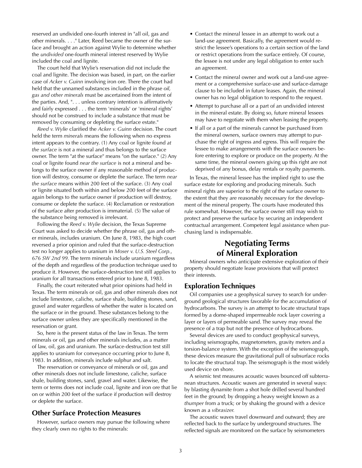reserved an undivided one-fourth interest in "all oil, gas and other minerals. . . ." Later, Reed became the owner of the surface and brought an action against Wylie to determine whether the *undivided* one-fourth mineral interest reserved by Wylie included the coal and lignite.

The court held that Wylie's reservation did not include the coal and lignite. The decision was based, in part, on the earlier case of *Acker v. Guinn* involving iron ore. There the court had held that the unnamed substances included in the phrase *oil, gas and other minerals* must be ascertained from the intent of the parties. And, ". . . unless contrary intention is affirmatively and fairly expressed . . . the term 'minerals' or 'mineral rights' should not be construed to include a substance that must be removed by consuming or depleting the surface estate."

*Reed v. Wylie* clarified the *Acker v. Guinn* decision. The court held the term *minerals* means the following when no express intent appears to the contrary. (1) Any coal or lignite found *at the surface* is not a mineral and thus belongs to the surface owner. The term "at the surface" means "on the surface." (2) Any coal or lignite found *near the surface* is not a mineral and belongs to the surface owner if any reasonable method of production will destroy, consume or deplete the surface. The term *near the surface* means within 200 feet of the surface. (3) Any coal or lignite situated both within and below 200 feet of the surface again belongs to the surface owner if production will destroy, consume or deplete the surface. (4) Reclamation or restoration of the surface after production is immaterial. (5) The value of the substance being removed is irrelevant.

Following the *Reed v. Wylie* decision, the Texas Supreme Court was asked to decide whether the phrase oil, gas and other minerals, includes uranium. On June 8, 1983, the high court reversed a prior opinion and ruled that the surface-destruction test no longer applies to uranium in *Moser v. U.S. Steel Corp., 676 SW 2nd 99.* The term minerals include uranium regardless of the depth and regardless of the production technique used to produce it. However, the surface-destruction test still applies to uranium for all transactions entered prior to June 8, 1983.

Finally, the court reiterated what prior opinions had held in Texas. The term minerals or oil, gas and other minerals does not include limestone, caliche, surface shale, building stones, sand, gravel and water regardless of whether the water is located on the surface or in the ground. These substances belong to the surface owner unless they are specifically mentioned in the reservation or grant.

So, here is the present status of the law in Texas. The term minerals or oil, gas and other minerals includes, as a matter of law, oil, gas and uranium. The surface-destruction test still applies to uranium for conveyance occurring prior to June 8, 1983. In addition, minerals include sulphur and salt.

The reservation or conveyance of minerals or oil, gas and other minerals does not include limestone, caliche, surface shale, building stones, sand, gravel and water. Likewise, the term or terms does not include coal, lignite and iron ore that lie on or within 200 feet of the surface if production will destroy or deplete the surface.

#### **Other Surface Protection Measures**

However, surface owners may pursue the following where they clearly own no rights to the minerals:

- Contact the mineral lessee in an attempt to work out a land-use agreement. Basically, the agreement would restrict the lessee's operations to a certain section of the land or restrict operations from the surface entirely. Of course, the lessee is not under any legal obligation to enter such an agreement.
- Contact the mineral owner and work out a land-use agreement or a comprehensive surface-use and surface-damage clause to be included in future leases. Again, the mineral owner has no legal obligation to respond to the request.
- Attempt to purchase all or a part of an undivided interest in the mineral estate. By doing so, future mineral lessees may have to negotiate with them when leasing the property.
- If all or a part of the minerals cannot be purchased from the mineral owners, surface owners may attempt to purchase the right of ingress and egress. This will require the lessee to make arrangements with the surface owners before entering to explore or produce on the property. At the same time, the mineral owners giving up this right are not deprived of any bonus, delay rentals or royalty payments.

In Texas, the mineral lessee has the implied right to use the surface estate for exploring and producing minerals. Such mineral rights are superior to the right of the surface owner to the extent that they are reasonably necessary for the development of the mineral property. The courts have moderated this rule somewhat. However, the surface owner still may wish to protect and preserve the surface by securing an independent contractual arrangement. Competent legal assistance when purchasing land is indispensable.

## **Negotiating Terms of Mineral Exploration**

Mineral owners who anticipate extensive exploration of their property should negotiate lease provisions that will protect their interests.

#### **Exploration Techniques**

Oil companies use a geophysical survey to search for underground geological structures favorable for the accumulation of hydrocarbons. The survey is an attempt to locate structural traps formed by a dome-shaped impermeable rock layer covering a layer or layers of permeable sand. The survey may reveal the presence of a trap but not the presence of hydrocarbons.

Several devices are used to conduct geophysical surveys, including seismographs, magnetometers, gravity meters and a torsion-balance system. With the exception of the seismograph, these devices measure the gravitational pull of subsurface rocks to locate the structural trap. The seismograph is the most widely used device on shore.

A seismic test measures acoustic waves bounced off subterranean structures. Acoustic waves are generated in several ways: by blasting dynamite from a shot hole drilled several hundred feet in the ground; by dropping a heavy weight known as a *thumper* from a truck; or by shaking the ground with a device known as a *vibrasizer.* 

The acoustic waves travel downward and outward; they are reflected back to the surface by underground structures. The reflected signals are monitored on the surface by seismometers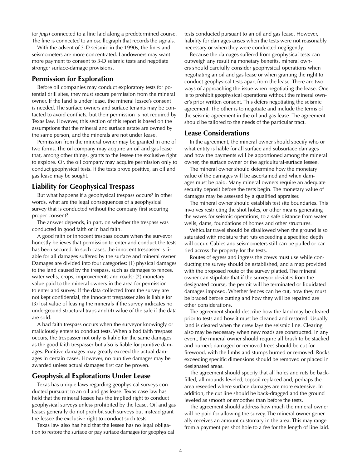(or *jugs*) connected to a line laid along a predetermined course. The line is connected to an oscillograph that records the signals.

With the advent of 3-D seismic in the 1990s, the lines and seismometers are more concentrated. Landowners may want more payment to consent to 3-D seismic tests and negotiate stronger surface-damage provisions.

#### **Permission for Exploration**

Before oil companies may conduct exploratory tests for potential drill sites, they must secure permission from the mineral owner. If the land is under lease, the mineral lessee's consent is needed. The surface owners and surface tenants may be contacted to avoid conflicts, but their permission is not required by Texas law. However, this section of this report is based on the assumptions that the mineral and surface estate are owned by the same person, and the minerals are not under lease.

Permission from the mineral owner may be granted in one of two forms. The oil company may acquire an oil and gas lease that, among other things, grants to the lessee the exclusive right to explore. Or, the oil company may acquire permission only to conduct geophysical tests. If the tests prove positive, an oil and gas lease may be sought.

#### **Liability for Geophysical Trespass**

But what happens if a geophysical trespass occurs? In other words, what are the legal consequences of a geophysical survey that is conducted without the company first securing proper consent?

The answer depends, in part, on whether the trespass was conducted in good faith or in bad faith.

A good faith or innocent trespass occurs when the surveyor honestly believes that permission to enter and conduct the tests has been secured. In such cases, the innocent trespasser is liable for all damages suffered by the surface and mineral owner. Damages are divided into four categories: (1) physical damages to the land caused by the trespass, such as damages to fences, water wells, crops, improvements and roads; (2) monetary value paid to the mineral owners in the area for permission to enter and survey. If the data collected from the survey are not kept confidential, the innocent trespasser also is liable for (3) lost value of leasing the minerals if the survey indicates no underground structural traps and (4) value of the sale if the data are sold.

A bad faith trespass occurs when the surveyor knowingly or maliciously enters to conduct tests. When a bad faith trespass occurs, the trespasser not only is liable for the same damages as the good faith trespasser but also is liable for punitive damages. Punitive damages may greatly exceed the actual damages in certain cases. However, no punitive damages may be awarded unless actual damages first can be proven.

#### **Geophysical Explorations Under Lease**

Texas has unique laws regarding geophysical surveys conducted pursuant to an oil and gas lease. Texas case law has held that the mineral lessee has the implied right to conduct geophysical surveys unless prohibited by the lease. Oil and gas leases generally do not prohibit such surveys but instead grant the lessee the exclusive right to conduct such tests.

Texas law also has held that the lessee has no legal obligation to restore the surface or pay surface damages for geophysical tests conducted pursuant to an oil and gas lease. However, liability for damages arises when the tests were not reasonably necessary or when they were conducted negligently.

Because the damages suffered from geophysical tests can outweigh any resulting monetary benefits, mineral owners should carefully consider geophysical operations when negotiating an oil and gas lease or when granting the right to conduct geophysical tests apart from the lease. There are two ways of approaching the issue when negotiating the lease. One is to prohibit geophysical operations without the mineral owner's prior written consent. This defers negotiating the seismic agreement. The other is to negotiate and include the terms of the seismic agreement in the oil and gas lease. The agreement should be tailored to the needs of the particular tract.

#### **Lease Considerations**

In the agreement, the mineral owner should specify who or what entity is liable for all surface and subsurface damages and how the payments will be apportioned among the mineral owner, the surface owner or the agricultural-surface lessee.

The mineral owner should determine how the monetary value of the damages will be ascertained and when damages must be paid. Many mineral owners require an adequate security deposit before the tests begin. The monetary value of damages may be assessed by a qualified appraiser.

The mineral owner should establish test site boundaries. This involves restricting the shot holes, or other means generating the waves for seismic operations, to a safe distance from water wells, dams, foundations of homes and other structures.

Vehicular travel should be disallowed when the ground is so saturated with moisture that ruts exceeding a specified depth will occur. Cables and seismometers still can be pulled or carried across the property for the tests.

Routes of egress and ingress the crews must use while conducting the survey should be established, and a map provided with the proposed route of the survey platted. The mineral owner can stipulate that if the surveyor deviates from the designated course, the permit will be terminated or liquidated damages imposed. Whether fences can be cut, how they must be braced before cutting and how they will be repaired are other considerations.

The agreement should describe how the land may be cleared prior to tests and how it must be cleaned and restored. Usually land is cleared when the crew lays the seismic line. Clearing also may be necessary when new roads are constructed. In any event, the mineral owner should require all brush to be stacked and burned; damaged or removed trees should be cut for firewood, with the limbs and stumps burned or removed. Rocks exceeding specific dimensions should be removed or placed in designated areas.

The agreement should specify that all holes and ruts be backfilled, all mounds leveled, topsoil replaced and, perhaps the area reseeded where surface damages are more extensive. In addition, the cut line should be back-dragged and the ground leveled as smooth or smoother than before the tests.

The agreement should address how much the mineral owner will be paid for allowing the survey. The mineral owner generally receives an amount customary in the area. This may range from a payment per shot hole to a fee for the length of line laid.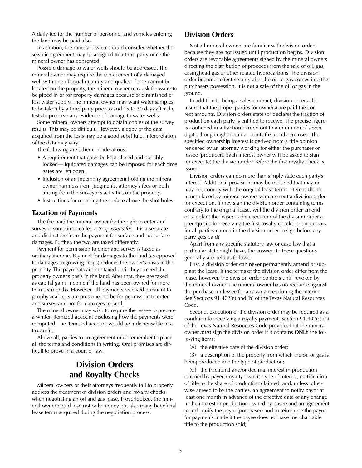A daily fee for the number of personnel and vehicles entering the land may be paid also.

In addition, the mineral owner should consider whether the seismic agreement may be assigned to a third party once the mineral owner has consented.

Possible damage to water wells should be addressed. The mineral owner may require the replacement of a damaged well with one of equal quantity and quality. If one cannot be located on the property, the mineral owner may ask for water to be piped in or for property damages because of diminished or lost water supply. The mineral owner may want water samples to be taken by a third party prior to and 15 to 30 days after the tests to preserve any evidence of damage to water wells.

Some mineral owners attempt to obtain copies of the survey results. This may be difficult. However, a copy of the data acquired from the tests may be a good substitute. Interpretation of the data may vary.

The following are other considerations:

- A requirement that gates be kept closed and possibly locked—liquidated damages can be imposed for each time gates are left open.
- Inclusion of an indemnity agreement holding the mineral owner harmless from judgments, attorney's fees or both arising from the surveyor's activities on the property.
- Instructions for repairing the surface above the shot holes.

#### **Taxation of Payments**

The fee paid the mineral owner for the right to enter and survey is sometimes called a *trespasser's fee.* It is a separate and distinct fee from the payment for surface and subsurface damages. Further, the two are taxed differently.

Payment for permission to enter and survey is taxed as ordinary income. Payment for damages to the land (as opposed to damages to growing crops) reduces the owner's basis in the property. The payments are not taxed until they exceed the property owner's basis in the land. After that, they are taxed as capital gains income if the land has been owned for more than six months. However, all payments received pursuant to geophysical tests are presumed to be for permission to enter and survey and not for damages to land.

The mineral owner may wish to require the lessee to prepare a written itemized account disclosing how the payments were computed. The itemized account would be indispensable in a tax audit.

Above all, parties to an agreement must remember to place all the terms and conditions in writing. Oral promises are difficult to prove in a court of law.

## **Division Orders and Royalty Checks**

Mineral owners or their attorneys frequently fail to properly address the treatment of division orders and royalty checks when negotiating an oil and gas lease. If overlooked, the mineral owner could lose not only money but also many beneficial lease terms acquired during the negotiation process.

#### **Division Orders**

Not all mineral owners are familiar with division orders because they are not issued until production begins. Division orders are revocable agreements signed by the mineral owners directing the distribution of proceeds from the sale of oil, gas, casinghead gas or other related hydrocarbons. The division order becomes effective only after the oil or gas comes into the purchasers possession. It is not a sale of the oil or gas in the ground.

In addition to being a sales contract, division orders also insure that the proper parties (or owners) are paid the correct amounts. Division orders state (or declare) the fraction of production each party is entitled to receive. The precise figure is contained in a fraction carried out to a minimum of seven digits, though eight decimal points frequently are used. The specified ownership interest is derived from a title opinion rendered by an attorney working for either the purchaser or lessee (producer). Each interest owner will be asked to sign (or execute) the division order before the first royalty check is issued.

Division orders can do more than simply state each party's interest. Additional provisions may be included that may or may not comply with the original lease terms. Here is the dilemma faced by mineral owners who are sent a division order for execution. If they sign the division order containing terms contrary to the original lease, will the division order amend or supplant the lease? Is the execution of the division order a prerequisite for receiving the first royalty check? Is it necessary for all parties named in the division order to sign before any party gets paid?

Apart from any specific statutory law or case law that a particular state might have, the answers to these questions generally are held as follows.

First, a division order can never permanently amend or supplant the lease. If the terms of the division order differ from the lease, however, the division order controls until revoked by the mineral owner. The mineral owner has no recourse against the purchaser or lessee for any variances during the interim. See Sections 91.402(g) and (h) of the Texas Natural Resources Code.

Second, execution of the division order may be required as a condition for receiving a royalty payment. Section 91.402(c) (1) of the Texas Natural Resources Code provides that the mineral owner *mus*t sign the division order if it contains **ONLY** the following items:

(A) the effective date of the division order;

(B) a description of the property from which the oil or gas is being produced and the type of production;

(C) the fractional and/or decimal interest in production claimed by payee (royalty owner), type of interest, certification of title to the share of production claimed, and, unless otherwise agreed to by the parties, an agreement to notify payor at least one month in advance of the effective date of any change in the interest in production owned by payee and an agreement to indemnify the payor (purchaser) and to reimburse the payor for payments made if the payee does not have merchantable title to the production sold;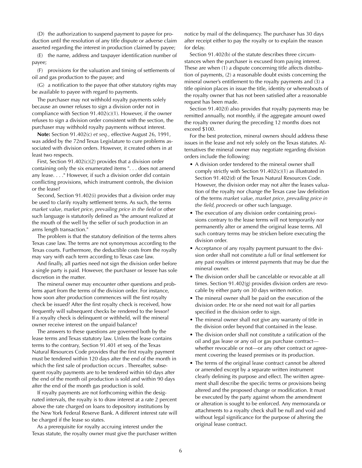(D) the authorization to suspend payment to payee for production until the resolution of any title dispute or adverse claim asserted regarding the interest in production claimed by payee;

(E) the name, address and taxpayer identification number of payee;

(F) provisions for the valuation and timing of settlements of oil and gas production to the payee; and

(G) a notification to the payee that other statutory rights may be available to payee with regard to payments.

The purchaser may not withhold royalty payments solely because an owner refuses to sign a division order not in compliance with Section 91.402(c)(1). However, if the owner refuses to sign a division order consistent with the section, the purchaser may withhold royalty payments without interest.

**Note:** Section 91.402(c) *et seq.,* effective August 26, 1991, was added by the 72nd Texas Legislature to cure problems associated with division orders. However, it created others in at least two respects.

First, Section 91.402(c)(2) provides that a division order containing only the six enumerated items ". . . does not amend any lease. . . ." However, if such a division order did contain conflicting provisions, which instrument controls, the division or the lease?

Second, Section 91.402(i) provides that a division order may be used to clarify royalty settlement terms. As such, the terms *market value, market price, prevailing price in the field or other* such language is statutorily defined as "the amount realized at the mouth of the well by the seller of such production in an arms length transaction."

The problem is that the statutory definition of the terms alters Texas case law. The terms are not synonymous according to the Texas courts. Furthermore, the deductible costs from the royalty may vary with each term according to Texas case law.

And finally, all parties need not sign the division order before a single party is paid. However, the purchaser or lessee has sole discretion in the matter.

The mineral owner may encounter other questions and problems apart from the terms of the division order. For instance, how soon after production commences will the first royalty check be issued? After the first royalty check is received, how frequently will subsequent checks be rendered to the lessor? If a royalty check is delinquent or withheld, will the mineral owner receive interest on the unpaid balance?

The answers to these questions are governed both by the lease terms and Texas statutory law. Unless the lease contains terms to the contrary, Section 91.401 et seq. of the Texas Natural Resources Code provides that the first royalty payment must be tendered within 120 days after the end of the month in which the first sale of production occurs . Thereafter, subsequent royalty payments are to be tendered within 60 days after the end of the month oil production is sold and within 90 days after the end of the month gas production is sold.

If royalty payments are not forthcoming within the designated intervals, the royalty is to draw interest at a rate 2 percent above the rate charged on loans to depository institutions by the New York Federal Reserve Bank. A different interest rate will be charged if the lease so states.

As a prerequisite for royalty accruing interest under the Texas statute, the royalty owner must give the purchaser written notice by mail of the delinquency. The purchaser has 30 days after receipt either to pay the royalty or to explain the reason for delay.

Section 91.402(b) of the statute describes three circumstances when the purchaser is excused from paying interest. These are when (1) a dispute concerning title affects distribution of payments, (2) a reasonable doubt exists concerning the mineral owner's entitlement to the royalty payments and (3) a title opinion places in issue the title, identity or whereabouts of the royalty owner that has not been satisfied after a reasonable request has been made.

Section 91.402(f) also provides that royalty payments may be remitted annually, not monthly, if the aggregate amount owed the royalty owner during the preceding 12 months does not exceed \$100.

For the best protection, mineral owners should address these issues in the lease and not rely solely on the Texas statutes. Alternatives the mineral owner may negotiate regarding division orders include the following:

- A division order tendered to the mineral owner shall comply strictly with Section 91.402(c)(1) as illustrated in Section 91.402(d) of the Texas Natural Resources Code. However, the division order may not alter the leases valuation of the royalty nor change the Texas case law definition of the terms *market value, market price, prevailing price in the field, proceeds* or other such language.
- The execution of any division order containing provisions contrary to the lease terms will not temporarily nor permanently alter or amend the original lease terms. All such contrary terms may be stricken before executing the division order.
- Acceptance of any royalty payment pursuant to the division order shall not constitute a full or final settlement for any past royalties or interest payments that may be due the mineral owner.
- The division order shall be cancelable or revocable at all times. Section 91.402(g) provides division orders are revocable by either party on 30 days written notice.
- The mineral owner shall be paid on the execution of the division order. He or she need not wait for all parties specified in the division order to sign.
- The mineral owner shall not give any warranty of title in the division order beyond that contained in the lease.
- The division order shall not constitute a ratification of the oil and gas lease or any oil or gas purchase contract whether revocable or not—or any other contract or agreement covering the leased premises or its production.
- The terms of the original lease contract cannot be altered or amended except by a separate written instrument clearly defining its purpose and effect. The written agreement shall describe the specific terms or provisions being altered and the proposed change or modification. It must be executed by the party against whom the amendment or alteration is sought to be enforced. Any memoranda or attachments to a royalty check shall be null and void and without legal significance for the purpose of altering the original lease contract.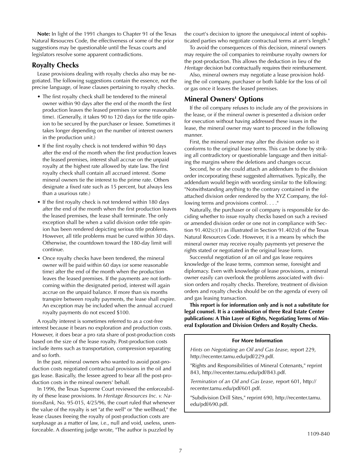**Note:** In light of the 1991 changes to Chapter 91 of the Texas Natural Resoucres Code, the effectiveness of some of the prior suggestions may be questionable until the Texas courts and legislators resolve some apparent contradictions.

#### **Royalty Checks**

Lease provisions dealing with royalty checks also may be negotiated. The following suggestions contain the essence, not the precise language, of lease clauses pertaining to royalty checks.

- The first royalty check shall be tendered to the mineral owner within 90 days after the end of the month the first production leaves the leased premises (or some reasonable time). (Generally, it takes 90 to 120 days for the title opinion to be secured by the purchaser or lessee. Sometimes it takes longer depending on the number of interest owners in the production unit.)
- If the first royalty check is not tendered within 90 days after the end of the month when the first production leaves the leased premises, interest shall accrue on the unpaid royalty at the highest rate allowed by state law. The first royalty check shall contain all accrued interest. (Some mineral owners tie the interest to the prime rate. Others designate a fixed rate such as 15 percent, but always less than a usurious rate.)
- If the first royalty check is not tendered within 180 days after the end of the month when the first production leaves the leased premises, the lease shall terminate. The only exception shall be when a valid division order title opinion has been rendered depicting serious title problems. However, all title problems must be cured within 30 days. Otherwise, the countdown toward the 180-day limit will continue.
- Once royalty checks have been tendered, the mineral owner will be paid within 60 days (or some reasonable time) after the end of the month when the production leaves the leased premises. If the payments are not forthcoming within the designated period, interest will again accrue on the unpaid balance. If more than six months transpire between royalty payments, the lease shall expire. An exception may be included when the annual accrued royalty payments do not exceed \$100.

A royalty interest is sometimes referred to as a cost-free interest because it bears no exploration and production costs. However, it does bear a pro rata share of post-production costs based on the size of the lease royalty. Post-production costs include items such as transportation, compression separating and so forth.

In the past, mineral owners who wanted to avoid post-production costs negotiated contractual provisions in the oil and gas lease. Basically, the lessee agreed to bear all the post-production costs in the mineal owners' behalf.

In 1996, the Texas Supreme Court reviewed the enforceability of these lease provisions. In *Heritage Resources Inc. v. NationsBank,* No. 95-015, 4/25/96, the court ruled that whenever the value of the royalty is set "at the well" or "the wellhead," the lease clauses freeing the royalty of post-production costs are surplusage as a matter of law, i.e., null and void, useless, unenforceable. A dissenting judge wrote, "The author is puzzled by

the court's decision to ignore the unequivocal intent of sophisticated parties who negotiate contractual terms at arm's length."

To avoid the consequences of this decision, mineral owners may require the oil companies to reimburse royalty owners for the post-production. This allows the deduction in lieu of the *Heritage* decision but contractually requires their reimbursement.

Also, mineral owners may negotiate a lease provision holding the oil company, purchaser or both liable for the loss of oil or gas once it leaves the leased premises.

#### **Mineral Owners' Options**

If the oil company refuses to include any of the provisions in the lease, or if the mineral owner is presented a division order for execution without having addressed these issues in the lease, the mineral owner may want to proceed in the following manner.

First, the mineral owner may alter the division order so it conforms to the original lease terms. This can be done by striking all contradictory or questionable language and then initialing the margins where the deletions and changes occur.

Second, he or she could attach an addendum to the division order incorporating these suggested alternatives. Typically, the addendum would begin with wording similar to the following: "Notwithstanding anything to the contrary contained in the attached division order rendered by the XYZ Company, the following terms and provisions control. . . ."

Naturally, the purchaser or oil company is responsible for deciding whether to issue royalty checks based on such a revised or amended division order or one not in compliance with Section 91.402(c)(1) as illustrated in Section 91.402(d) of the Texas Natural Resources Code. However, it is a means by which the mineral owner may receive royalty payments yet preserve the rights stated or negotiated in the original lease form.

Successful negotiation of an oil and gas lease requires knowledge of the lease terms, common sense, foresight and diplomacy. Even with knowledge of lease provisions, a mineral owner easily can overlook the problems associated with division orders and royalty checks. Therefore, treatment of division orders and royalty checks should be on the agenda of every oil and gas leasing transaction.

**This report is for information only and is not a substitute for legal counsel. It is a combination of three Real Estate Center publications: A Thin Layer of Rights, Negotiating Terms of Mineral Exploration and Division Orders and Royalty Checks.** 

#### **For More Information**

*Hints on Negotiating an Oil and Gas Lease,* report 229, http://recenter.tamu.edu/pdf/229.pdf.

"Rights and Responsibilities of Mineral Cotenants," reprint 843, http://recenter.tamu.edu/pdf/843.pdf.

*Termination of an Oil and Gas Lease,* report 601, http:// recenter.tamu.edu/pdf/601.pdf.

"Subdivision Drill Sites," reprint 690, http://recenter.tamu. edu/pdf/690.pdf.

<sub>1</sub>